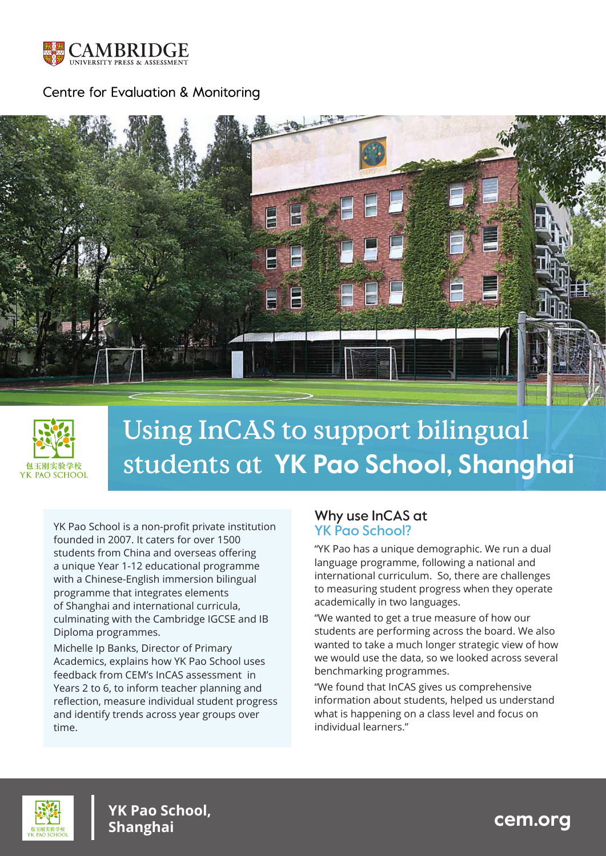

## Centre for Evaluation & Monitoring





# Using InCAS to support bilingual students at **YK Pao School, Shanghai**

YK Pao School is a non-profit private institution founded in 2007. It caters for over 1500 students from China and overseas offering a unique Year 1-12 educational programme with a Chinese-English immersion bilingual programme that integrates elements of Shanghai and international curricula, culminating with the Cambridge IGCSE and IB Diploma programmes.

Michelle Ip Banks, Director of Primary Academics, explains how YK Pao School uses feedback from CEM's InCAS assessment in Years 2 to 6, to inform teacher planning and reflection, measure individual student progress and identify trends across year groups over time.

### Why use InCAS at YK Pao School?

"YK Pao has a unique demographic. We run a dual language programme, following a national and international curriculum. So, there are challenges to measuring student progress when they operate academically in two languages.

"We wanted to get a true measure of how our students are performing across the board. We also wanted to take a much longer strategic view of how we would use the data, so we looked across several benchmarking programmes.

"We found that InCAS gives us comprehensive information about students, helped us understand what is happening on a class level and focus on individual learners."



**cem.org**